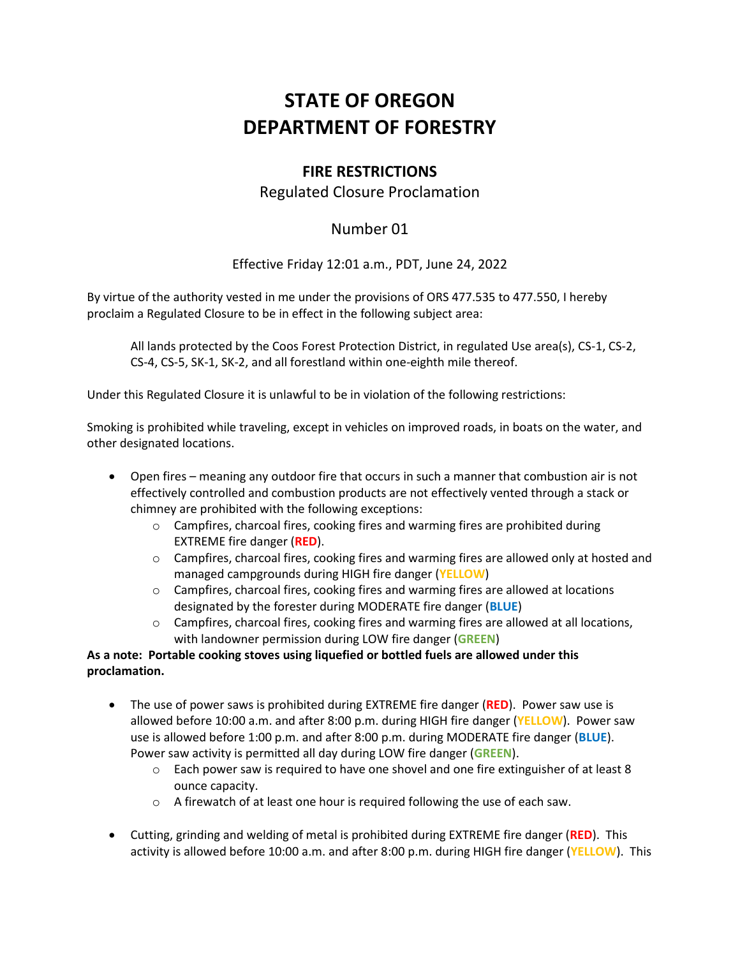# **STATE OF OREGON DEPARTMENT OF FORESTRY**

## **FIRE RESTRICTIONS**

### Regulated Closure Proclamation

## Number 01

Effective Friday 12:01 a.m., PDT, June 24, 2022

By virtue of the authority vested in me under the provisions of ORS 477.535 to 477.550, I hereby proclaim a Regulated Closure to be in effect in the following subject area:

All lands protected by the Coos Forest Protection District, in regulated Use area(s), CS-1, CS-2, CS-4, CS-5, SK-1, SK-2, and all forestland within one-eighth mile thereof.

Under this Regulated Closure it is unlawful to be in violation of the following restrictions:

Smoking is prohibited while traveling, except in vehicles on improved roads, in boats on the water, and other designated locations.

- Open fires meaning any outdoor fire that occurs in such a manner that combustion air is not effectively controlled and combustion products are not effectively vented through a stack or chimney are prohibited with the following exceptions:
	- o Campfires, charcoal fires, cooking fires and warming fires are prohibited during EXTREME fire danger (**RED**).
	- $\circ$  Campfires, charcoal fires, cooking fires and warming fires are allowed only at hosted and managed campgrounds during HIGH fire danger (**YELLOW**)
	- $\circ$  Campfires, charcoal fires, cooking fires and warming fires are allowed at locations designated by the forester during MODERATE fire danger (**BLUE**)
	- o Campfires, charcoal fires, cooking fires and warming fires are allowed at all locations, with landowner permission during LOW fire danger (**GREEN**)

#### **As a note: Portable cooking stoves using liquefied or bottled fuels are allowed under this proclamation.**

- The use of power saws is prohibited during EXTREME fire danger (**RED**). Power saw use is allowed before 10:00 a.m. and after 8:00 p.m. during HIGH fire danger (**YELLOW**). Power saw use is allowed before 1:00 p.m. and after 8:00 p.m. during MODERATE fire danger (**BLUE**). Power saw activity is permitted all day during LOW fire danger (**GREEN**).
	- $\circ$  Each power saw is required to have one shovel and one fire extinguisher of at least 8 ounce capacity.
	- o A firewatch of at least one hour is required following the use of each saw.
- Cutting, grinding and welding of metal is prohibited during EXTREME fire danger (**RED**). This activity is allowed before 10:00 a.m. and after 8:00 p.m. during HIGH fire danger (**YELLOW**). This